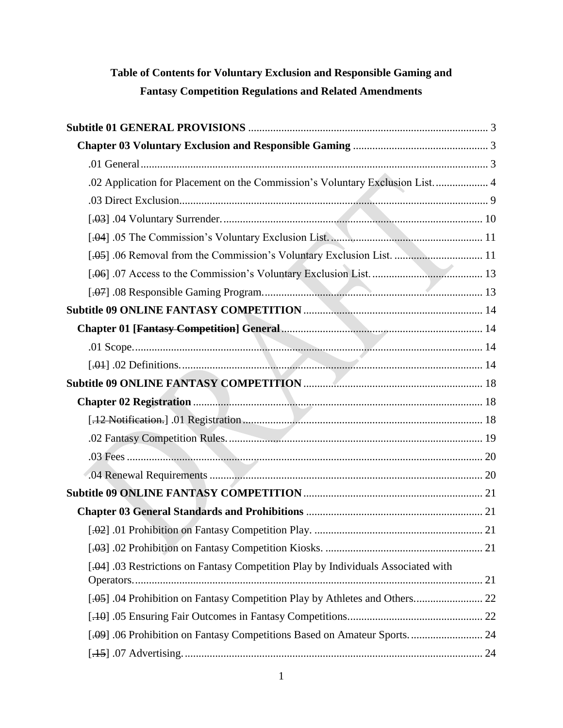# **Table of Contents for Voluntary Exclusion and Responsible Gaming and Fantasy Competition Regulations and Related Amendments**

| .02 Application for Placement on the Commission's Voluntary Exclusion List 4      |  |
|-----------------------------------------------------------------------------------|--|
|                                                                                   |  |
|                                                                                   |  |
|                                                                                   |  |
| [.05] .06 Removal from the Commission's Voluntary Exclusion List.  11             |  |
|                                                                                   |  |
|                                                                                   |  |
|                                                                                   |  |
|                                                                                   |  |
|                                                                                   |  |
|                                                                                   |  |
|                                                                                   |  |
|                                                                                   |  |
|                                                                                   |  |
|                                                                                   |  |
|                                                                                   |  |
|                                                                                   |  |
|                                                                                   |  |
|                                                                                   |  |
|                                                                                   |  |
|                                                                                   |  |
| [.04] .03 Restrictions on Fantasy Competition Play by Individuals Associated with |  |
| [.04 Prohibition on Fantasy Competition Play by Athletes and Others 22            |  |
|                                                                                   |  |
| [.09] .06 Prohibition on Fantasy Competitions Based on Amateur Sports 24          |  |
|                                                                                   |  |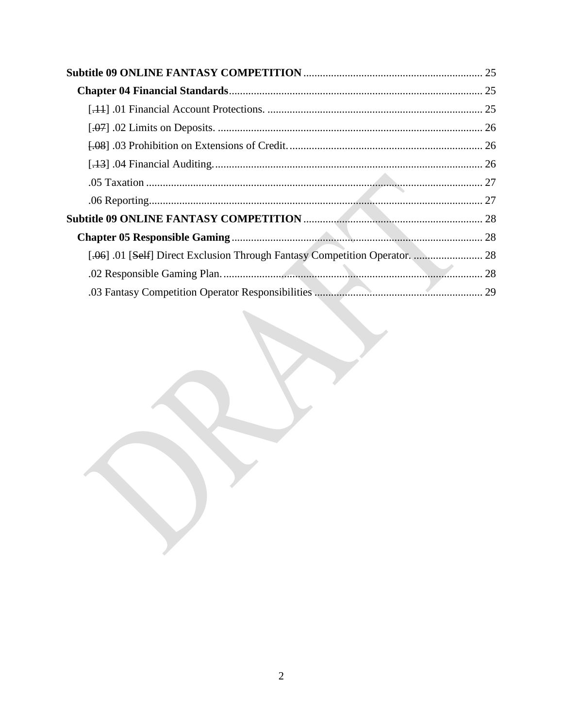| [.06] .01 [Self] Direct Exclusion Through Fantasy Competition Operator.  28 |    |
|-----------------------------------------------------------------------------|----|
|                                                                             |    |
| 03 Fantasy Competition Operator Responsibilities                            | 29 |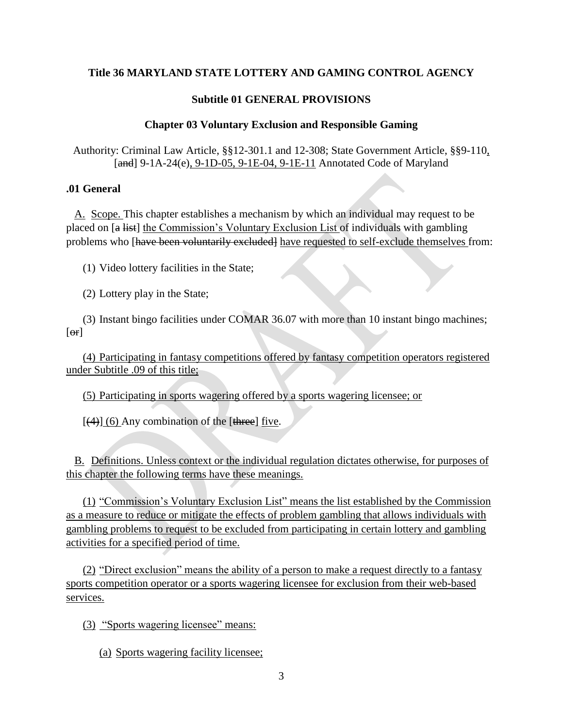## **Subtitle 01 GENERAL PROVISIONS**

## **Chapter 03 Voluntary Exclusion and Responsible Gaming**

<span id="page-2-1"></span><span id="page-2-0"></span>Authority: Criminal Law Article, §§12-301.1 and 12-308; State Government Article, §§9-110, [and] 9-1A-24(e), 9-1D-05, 9-1E-04, 9-1E-11 Annotated Code of Maryland

#### <span id="page-2-2"></span>**.01 General**

A. Scope. This chapter establishes a mechanism by which an individual may request to be placed on [a list] the Commission's Voluntary Exclusion List of individuals with gambling problems who [have been voluntarily excluded] have requested to self-exclude themselves from:

(1) Video lottery facilities in the State;

(2) Lottery play in the State;

(3) Instant bingo facilities under COMAR 36.07 with more than 10 instant bingo machines;  $[ $\Theta$ r]$ 

(4) Participating in fantasy competitions offered by fantasy competition operators registered under Subtitle .09 of this title;

(5) Participating in sports wagering offered by a sports wagering licensee; or

 $[4]$  (6) Any combination of the [three] five.

B. Definitions. Unless context or the individual regulation dictates otherwise, for purposes of this chapter the following terms have these meanings.

(1) "Commission's Voluntary Exclusion List" means the list established by the Commission as a measure to reduce or mitigate the effects of problem gambling that allows individuals with gambling problems to request to be excluded from participating in certain lottery and gambling activities for a specified period of time.

(2) "Direct exclusion" means the ability of a person to make a request directly to a fantasy sports competition operator or a sports wagering licensee for exclusion from their web-based services.

(3) "Sports wagering licensee" means:

(a) Sports wagering facility licensee;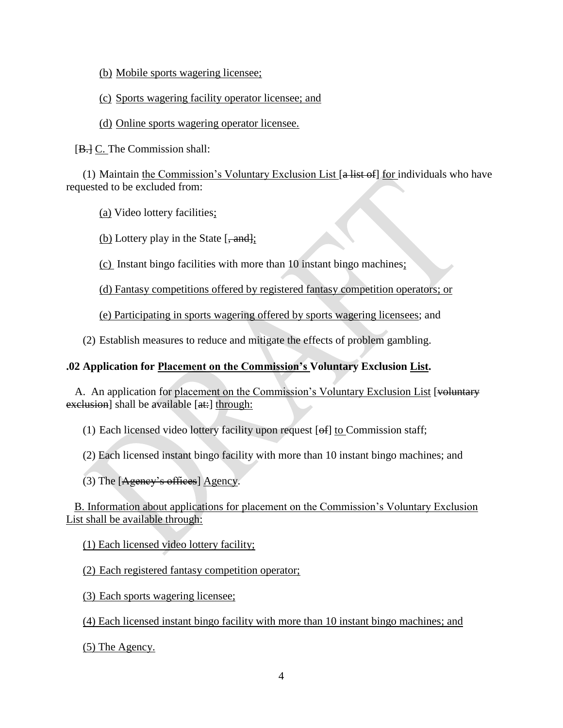- (b) Mobile sports wagering licensee;
- (c) Sports wagering facility operator licensee; and
- (d) Online sports wagering operator licensee.

[B.] C. The Commission shall:

(1) Maintain the Commission's Voluntary Exclusion List  $[a$  list of for individuals who have requested to be excluded from:

(a) Video lottery facilities;

(b) Lottery play in the State  $[-\text{and}]\cdot$ ;

(c) Instant bingo facilities with more than 10 instant bingo machines;

(d) Fantasy competitions offered by registered fantasy competition operators; or

(e) Participating in sports wagering offered by sports wagering licensees; and

(2) Establish measures to reduce and mitigate the effects of problem gambling.

# <span id="page-3-0"></span>**.02 Application for Placement on the Commission's Voluntary Exclusion List.**

A. An application for placement on the Commission's Voluntary Exclusion List [voluntary] exclusion] shall be available [at:] through:

(1) Each licensed video lottery facility upon request  $[ef]$  to Commission staff;

(2) Each licensed instant bingo facility with more than 10 instant bingo machines; and

(3) The [Agency's offices] Agency.

B. Information about applications for placement on the Commission's Voluntary Exclusion List shall be available through:

(1) Each licensed video lottery facility;

(2) Each registered fantasy competition operator;

(3) Each sports wagering licensee;

(4) Each licensed instant bingo facility with more than 10 instant bingo machines; and

(5) The Agency.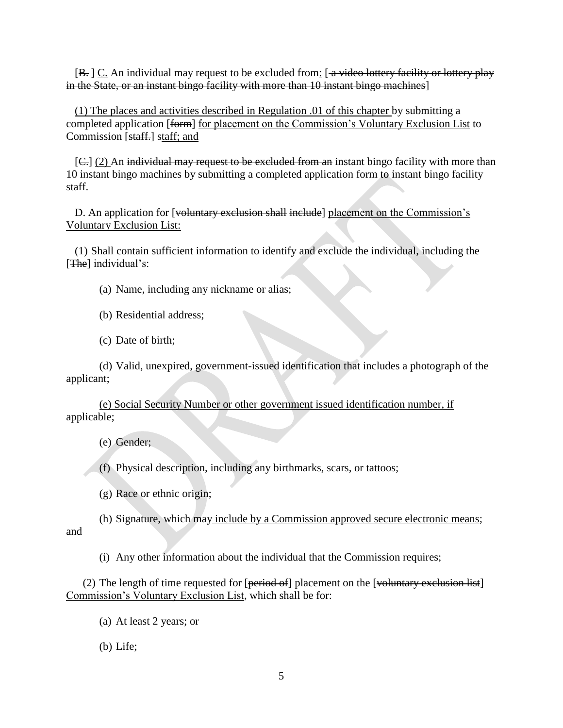$[B]$ .  $C$ . An individual may request to be excluded from:  $\left[$  a video lottery facility or lottery play in the State, or an instant bingo facility with more than 10 instant bingo machines]

(1) The places and activities described in Regulation .01 of this chapter by submitting a completed application [form] for placement on the Commission's Voluntary Exclusion List to Commission [staff.] staff; and

[C.] (2) An individual may request to be excluded from an instant bingo facility with more than 10 instant bingo machines by submitting a completed application form to instant bingo facility staff.

D. An application for [voluntary exclusion shall include] placement on the Commission's Voluntary Exclusion List:

(1) Shall contain sufficient information to identify and exclude the individual, including the [The] individual's:

(a) Name, including any nickname or alias;

(b) Residential address;

(c) Date of birth;

(d) Valid, unexpired, government-issued identification that includes a photograph of the applicant;

(e) Social Security Number or other government issued identification number, if applicable;

(e) Gender;

(f) Physical description, including any birthmarks, scars, or tattoos;

(g) Race or ethnic origin;

(h) Signature, which may include by a Commission approved secure electronic means; and

(i) Any other information about the individual that the Commission requires;

(2) The length of time requested for  $[period of]$  placement on the  $[volularity]$  exclusion list Commission's Voluntary Exclusion List, which shall be for:

(a) At least 2 years; or

(b) Life;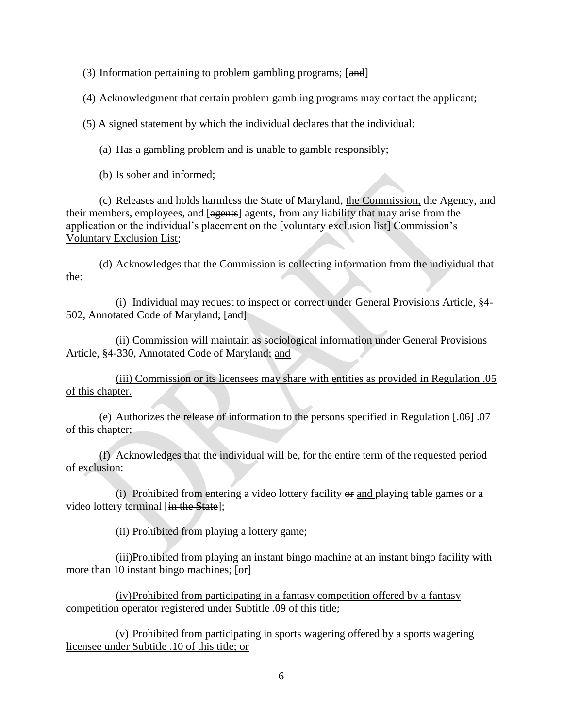(3) Information pertaining to problem gambling programs; [and]

(4) Acknowledgment that certain problem gambling programs may contact the applicant;

(5) A signed statement by which the individual declares that the individual:

(a) Has a gambling problem and is unable to gamble responsibly;

(b) Is sober and informed;

(c) Releases and holds harmless the State of Maryland, the Commission, the Agency, and their members, employees, and [agents] agents, from any liability that may arise from the application or the individual's placement on the [voluntary exclusion list] Commission's Voluntary Exclusion List;

(d) Acknowledges that the Commission is collecting information from the individual that the:

(i) Individual may request to inspect or correct under General Provisions Article, §4- 502, Annotated Code of Maryland; [and]

(ii) Commission will maintain as sociological information under General Provisions Article, §4-330, Annotated Code of Maryland; and

(iii) Commission or its licensees may share with entities as provided in Regulation .05 of this chapter.

(e) Authorizes the release of information to the persons specified in Regulation  $[0.06]$ . 07 of this chapter;

(f) Acknowledges that the individual will be, for the entire term of the requested period of exclusion:

(i) Prohibited from entering a video lottery facility  $\Theta$  and playing table games or a video lottery terminal [in the State];

(ii) Prohibited from playing a lottery game;

(iii)Prohibited from playing an instant bingo machine at an instant bingo facility with more than 10 instant bingo machines;  $[**or**]$ 

(iv)Prohibited from participating in a fantasy competition offered by a fantasy competition operator registered under Subtitle .09 of this title;

(v) Prohibited from participating in sports wagering offered by a sports wagering licensee under Subtitle .10 of this title; or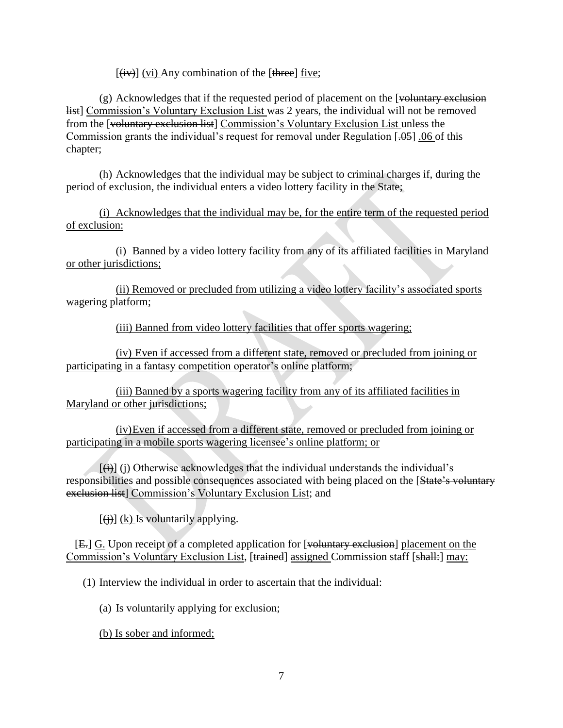$\left[\frac{div}{dx}\right]$  (vi) Any combination of the  $\left[\frac{div}{dx}\right]$  five;

 $(g)$  Acknowledges that if the requested period of placement on the [voluntary exclusion list] Commission's Voluntary Exclusion List was 2 years, the individual will not be removed from the [voluntary exclusion list] Commission's Voluntary Exclusion List unless the Commission grants the individual's request for removal under Regulation [.05] .06 of this chapter;

(h) Acknowledges that the individual may be subject to criminal charges if, during the period of exclusion, the individual enters a video lottery facility in the State;

(i) Acknowledges that the individual may be, for the entire term of the requested period of exclusion:

(i) Banned by a video lottery facility from any of its affiliated facilities in Maryland or other jurisdictions;

(ii) Removed or precluded from utilizing a video lottery facility's associated sports wagering platform;

(iii) Banned from video lottery facilities that offer sports wagering;

(iv) Even if accessed from a different state, removed or precluded from joining or participating in a fantasy competition operator's online platform;

(iii) Banned by a sports wagering facility from any of its affiliated facilities in Maryland or other jurisdictions;

(iv)Even if accessed from a different state, removed or precluded from joining or participating in a mobile sports wagering licensee's online platform; or

 $[\left( \frac{1}{\mathbf{H}} \right)$  (j) Otherwise acknowledges that the individual understands the individual's responsibilities and possible consequences associated with being placed on the [State's voluntary exclusion list] Commission's Voluntary Exclusion List; and

 $[\frac{1}{2}]$  (k) Is voluntarily applying.

[E.] G. Upon receipt of a completed application for [voluntary exclusion] placement on the Commission's Voluntary Exclusion List, [trained] assigned Commission staff [shall:] may:

(1) Interview the individual in order to ascertain that the individual:

(a) Is voluntarily applying for exclusion;

(b) Is sober and informed;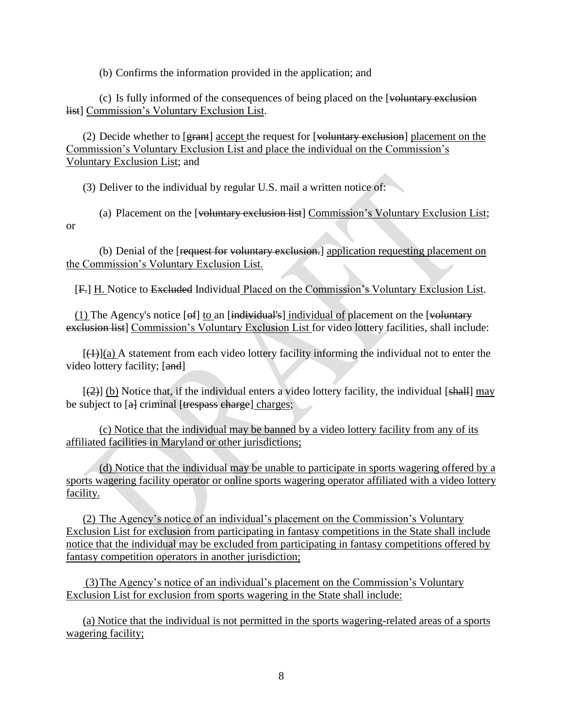(b) Confirms the information provided in the application; and

(c) Is fully informed of the consequences of being placed on the [voluntary exclusion list] Commission's Voluntary Exclusion List.

(2) Decide whether to [grant] accept the request for [voluntary exclusion] placement on the Commission's Voluntary Exclusion List and place the individual on the Commission's Voluntary Exclusion List; and

(3) Deliver to the individual by regular U.S. mail a written notice of:

(a) Placement on the [voluntary exclusion list] Commission's Voluntary Exclusion List; or

(b) Denial of the [request for voluntary exclusion.] application requesting placement on the Commission's Voluntary Exclusion List.

[F.] H. Notice to Excluded Individual Placed on the Commission's Voluntary Exclusion List.

(1) The Agency's notice  $[6f]$  to an  $[individual's]$  individual of placement on the [voluntary] exclusion list] Commission's Voluntary Exclusion List for video lottery facilities, shall include:

 $[\frac{1}{2}]$ (a) A statement from each video lottery facility informing the individual not to enter the video lottery facility; [and]

 $[2]$  (b) Notice that, if the individual enters a video lottery facility, the individual [shall] may be subject to  $\left[ \frac{a}{n} \right]$  criminal  $\left[ \frac{t}{n} \right]$  respass charges;

(c) Notice that the individual may be banned by a video lottery facility from any of its affiliated facilities in Maryland or other jurisdictions;

(d) Notice that the individual may be unable to participate in sports wagering offered by a sports wagering facility operator or online sports wagering operator affiliated with a video lottery facility.

(2) The Agency's notice of an individual's placement on the Commission's Voluntary Exclusion List for exclusion from participating in fantasy competitions in the State shall include notice that the individual may be excluded from participating in fantasy competitions offered by fantasy competition operators in another jurisdiction;

(3)The Agency's notice of an individual's placement on the Commission's Voluntary Exclusion List for exclusion from sports wagering in the State shall include:

(a) Notice that the individual is not permitted in the sports wagering-related areas of a sports wagering facility;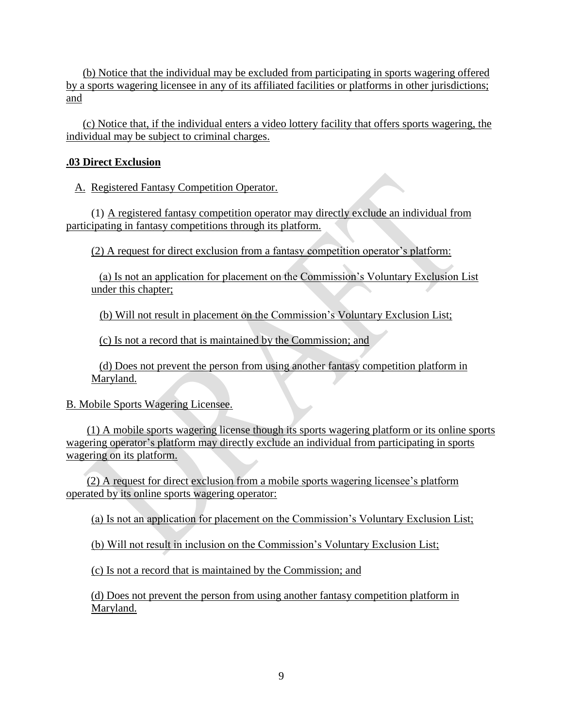(b) Notice that the individual may be excluded from participating in sports wagering offered by a sports wagering licensee in any of its affiliated facilities or platforms in other jurisdictions; and

(c) Notice that, if the individual enters a video lottery facility that offers sports wagering, the individual may be subject to criminal charges.

# <span id="page-8-0"></span>**.03 Direct Exclusion**

A. Registered Fantasy Competition Operator.

(1) A registered fantasy competition operator may directly exclude an individual from participating in fantasy competitions through its platform.

(2) A request for direct exclusion from a fantasy competition operator's platform:

(a) Is not an application for placement on the Commission's Voluntary Exclusion List under this chapter;

(b) Will not result in placement on the Commission's Voluntary Exclusion List;

(c) Is not a record that is maintained by the Commission; and

(d) Does not prevent the person from using another fantasy competition platform in Maryland.

# B. Mobile Sports Wagering Licensee.

(1) A mobile sports wagering license though its sports wagering platform or its online sports wagering operator's platform may directly exclude an individual from participating in sports wagering on its platform.

(2) A request for direct exclusion from a mobile sports wagering licensee's platform operated by its online sports wagering operator:

(a) Is not an application for placement on the Commission's Voluntary Exclusion List;

(b) Will not result in inclusion on the Commission's Voluntary Exclusion List;

(c) Is not a record that is maintained by the Commission; and

(d) Does not prevent the person from using another fantasy competition platform in Maryland.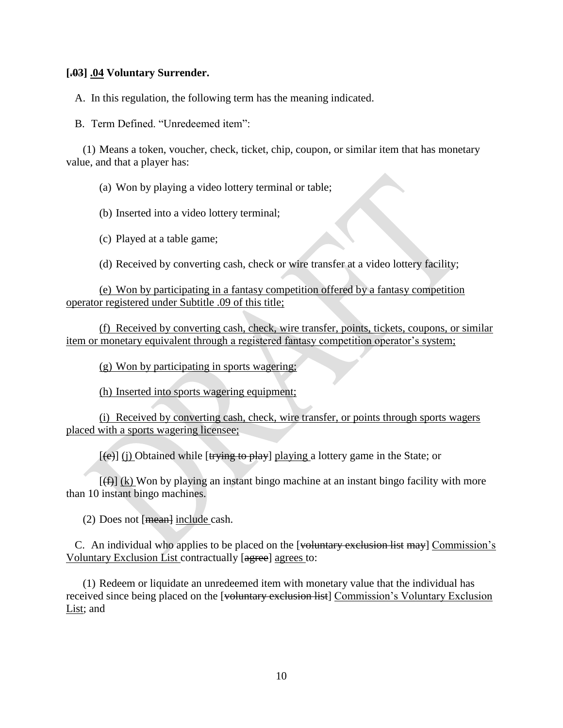#### <span id="page-9-0"></span>**[.03] .04 Voluntary Surrender.**

A. In this regulation, the following term has the meaning indicated.

B. Term Defined. "Unredeemed item":

(1) Means a token, voucher, check, ticket, chip, coupon, or similar item that has monetary value, and that a player has:

(a) Won by playing a video lottery terminal or table;

(b) Inserted into a video lottery terminal;

(c) Played at a table game;

(d) Received by converting cash, check or wire transfer at a video lottery facility;

(e) Won by participating in a fantasy competition offered by a fantasy competition operator registered under Subtitle .09 of this title;

(f) Received by converting cash, check, wire transfer, points, tickets, coupons, or similar item or monetary equivalent through a registered fantasy competition operator's system;

(g) Won by participating in sports wagering;

(h) Inserted into sports wagering equipment;

(i) Received by converting cash, check, wire transfer, or points through sports wagers placed with a sports wagering licensee;

 $[(e)]$  (j) Obtained while [trying to play] playing a lottery game in the State; or

 $[f(f)]$  (k) Won by playing an instant bingo machine at an instant bingo facility with more than 10 instant bingo machines.

(2) Does not  $[mean]$  include cash.

C. An individual who applies to be placed on the [voluntary exclusion list may] Commission's Voluntary Exclusion List contractually [agree] agrees to:

(1) Redeem or liquidate an unredeemed item with monetary value that the individual has received since being placed on the [voluntary exclusion list] Commission's Voluntary Exclusion List; and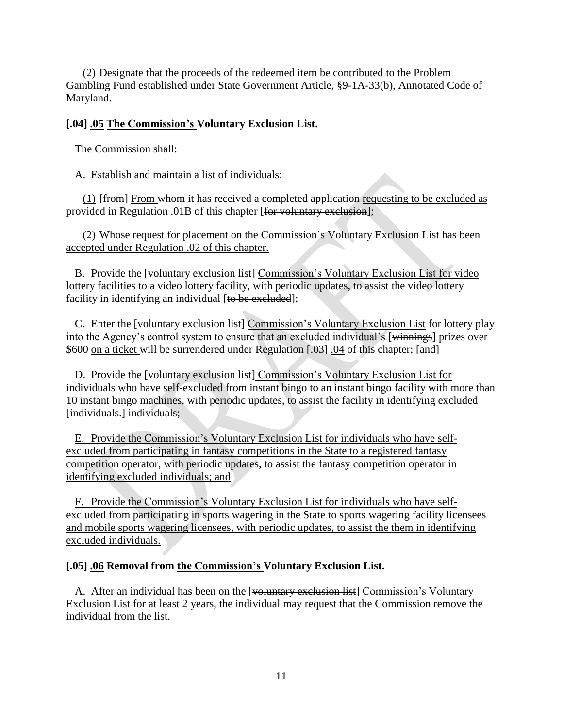(2) Designate that the proceeds of the redeemed item be contributed to the Problem Gambling Fund established under State Government Article, §9-1A-33(b), Annotated Code of Maryland.

#### <span id="page-10-0"></span>**[.04] .05 The Commission's Voluntary Exclusion List.**

The Commission shall:

A. Establish and maintain a list of individuals:

(1) [from] From whom it has received a completed application requesting to be excluded as provided in Regulation .01B of this chapter [for voluntary exclusion];

(2) Whose request for placement on the Commission's Voluntary Exclusion List has been accepted under Regulation .02 of this chapter.

B. Provide the [voluntary exclusion list] Commission's Voluntary Exclusion List for video lottery facilities to a video lottery facility, with periodic updates, to assist the video lottery facility in identifying an individual [to be excluded];

C. Enter the [voluntary exclusion list] Commission's Voluntary Exclusion List for lottery play into the Agency's control system to ensure that an excluded individual's [winnings] prizes over \$600 on a ticket will be surrendered under Regulation [.03] .04 of this chapter; [and]

D. Provide the [voluntary exclusion list] Commission's Voluntary Exclusion List for individuals who have self-excluded from instant bingo to an instant bingo facility with more than 10 instant bingo machines, with periodic updates, to assist the facility in identifying excluded [individuals.] individuals;

E. Provide the Commission's Voluntary Exclusion List for individuals who have selfexcluded from participating in fantasy competitions in the State to a registered fantasy competition operator, with periodic updates, to assist the fantasy competition operator in identifying excluded individuals; and

F. Provide the Commission's Voluntary Exclusion List for individuals who have selfexcluded from participating in sports wagering in the State to sports wagering facility licensees and mobile sports wagering licensees, with periodic updates, to assist the them in identifying excluded individuals.

#### <span id="page-10-1"></span>**[.05] .06 Removal from the Commission's Voluntary Exclusion List.**

A. After an individual has been on the [voluntary exclusion list] Commission's Voluntary Exclusion List for at least 2 years, the individual may request that the Commission remove the individual from the list.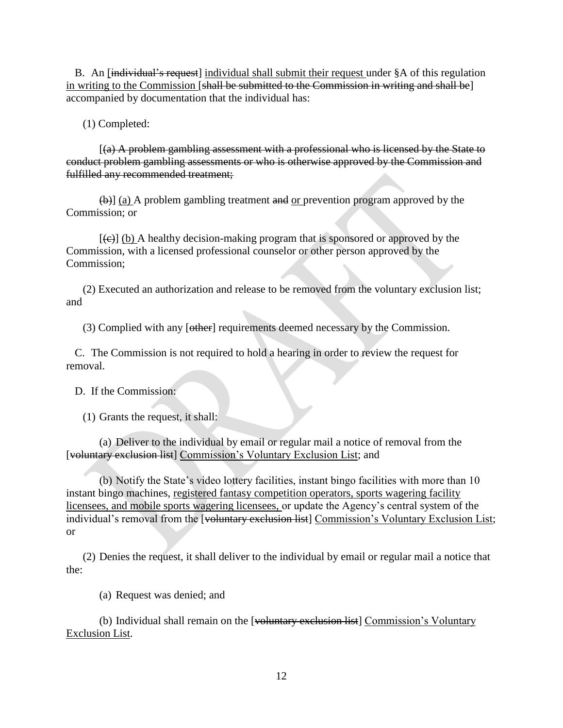B. An [individual's request] individual shall submit their request under §A of this regulation in writing to the Commission [shall be submitted to the Commission in writing and shall be] accompanied by documentation that the individual has:

(1) Completed:

[(a) A problem gambling assessment with a professional who is licensed by the State to conduct problem gambling assessments or who is otherwise approved by the Commission and fulfilled any recommended treatment;

(b)] (a) A problem gambling treatment and or prevention program approved by the Commission; or

 $[\langle e \rangle]$  (b) A healthy decision-making program that is sponsored or approved by the Commission, with a licensed professional counselor or other person approved by the Commission;

(2) Executed an authorization and release to be removed from the voluntary exclusion list; and

(3) Complied with any [other] requirements deemed necessary by the Commission.

C. The Commission is not required to hold a hearing in order to review the request for removal.

D. If the Commission:

(1) Grants the request, it shall:

(a) Deliver to the individual by email or regular mail a notice of removal from the [voluntary exclusion list] Commission's Voluntary Exclusion List; and

(b) Notify the State's video lottery facilities, instant bingo facilities with more than 10 instant bingo machines, registered fantasy competition operators, sports wagering facility licensees, and mobile sports wagering licensees, or update the Agency's central system of the individual's removal from the [voluntary exclusion list] Commission's Voluntary Exclusion List; or

(2) Denies the request, it shall deliver to the individual by email or regular mail a notice that the:

(a) Request was denied; and

(b) Individual shall remain on the [voluntary exclusion list] Commission's Voluntary Exclusion List.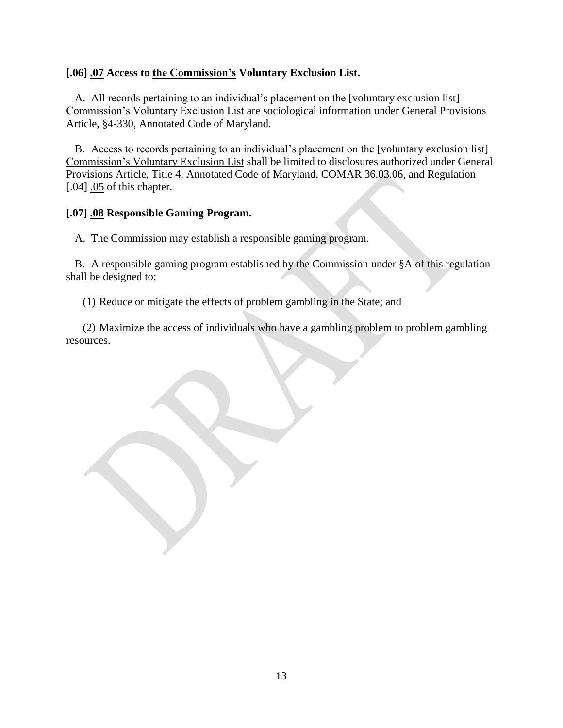## <span id="page-12-0"></span>**[.06] .07 Access to the Commission's Voluntary Exclusion List.**

A. All records pertaining to an individual's placement on the [voluntary exclusion list] Commission's Voluntary Exclusion List are sociological information under General Provisions Article, §4-330, Annotated Code of Maryland.

B. Access to records pertaining to an individual's placement on the [voluntary exclusion list] Commission's Voluntary Exclusion List shall be limited to disclosures authorized under General Provisions Article, Title 4, Annotated Code of Maryland, COMAR 36.03.06, and Regulation [. $-04$ ] .05 of this chapter.

## <span id="page-12-1"></span>**[.07] .08 Responsible Gaming Program.**

A. The Commission may establish a responsible gaming program.

B. A responsible gaming program established by the Commission under §A of this regulation shall be designed to:

(1) Reduce or mitigate the effects of problem gambling in the State; and

(2) Maximize the access of individuals who have a gambling problem to problem gambling resources.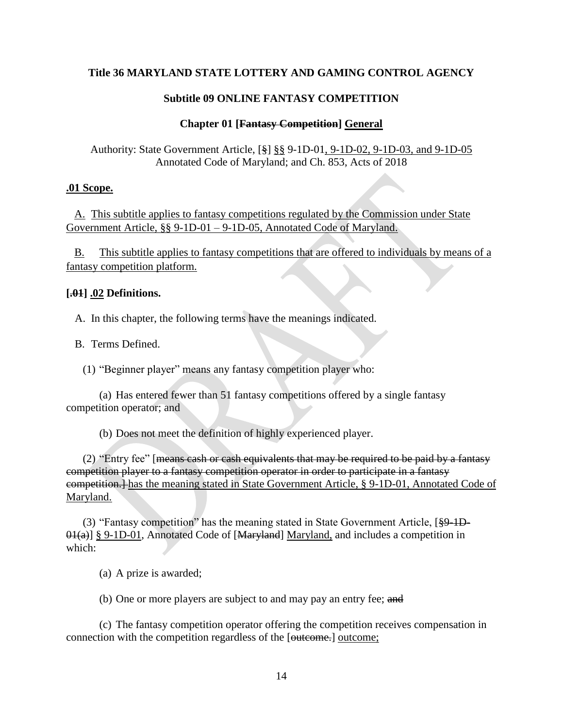#### **Subtitle 09 ONLINE FANTASY COMPETITION**

#### **Chapter 01 [Fantasy Competition] General**

<span id="page-13-1"></span><span id="page-13-0"></span>Authority: State Government Article, [§] §§ 9-1D-01, 9-1D-02, 9-1D-03, and 9-1D-05 Annotated Code of Maryland; and Ch. 853, Acts of 2018

#### <span id="page-13-2"></span>**.01 Scope.**

A. This subtitle applies to fantasy competitions regulated by the Commission under State Government Article, §§ 9-1D-01 – 9-1D-05, Annotated Code of Maryland.

B. This subtitle applies to fantasy competitions that are offered to individuals by means of a fantasy competition platform.

#### <span id="page-13-3"></span>**[.01] .02 Definitions.**

A. In this chapter, the following terms have the meanings indicated.

B. Terms Defined.

(1) "Beginner player" means any fantasy competition player who:

(a) Has entered fewer than 51 fantasy competitions offered by a single fantasy competition operator; and

(b) Does not meet the definition of highly experienced player.

(2) "Entry fee" [means cash or cash equivalents that may be required to be paid by a fantasy competition player to a fantasy competition operator in order to participate in a fantasy competition.] has the meaning stated in State Government Article, § 9-1D-01, Annotated Code of Maryland.

(3) "Fantasy competition" has the meaning stated in State Government Article, [§9-1D- $0.01(a)$ ] § 9-1D-01, Annotated Code of [Maryland] Maryland, and includes a competition in which:

(a) A prize is awarded;

(b) One or more players are subject to and may pay an entry fee; and

(c) The fantasy competition operator offering the competition receives compensation in connection with the competition regardless of the [<del>outcome.</del>] outcome;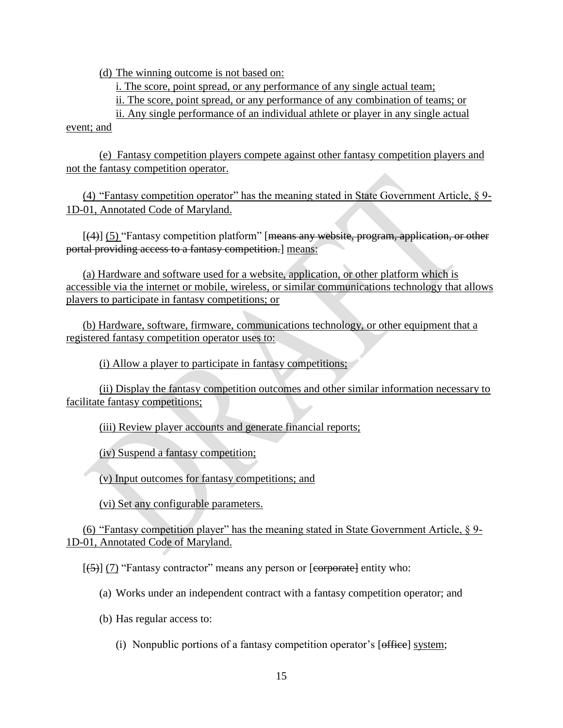(d) The winning outcome is not based on:

i. The score, point spread, or any performance of any single actual team;

ii. The score, point spread, or any performance of any combination of teams; or

ii. Any single performance of an individual athlete or player in any single actual event; and

(e) Fantasy competition players compete against other fantasy competition players and not the fantasy competition operator.

(4) "Fantasy competition operator" has the meaning stated in State Government Article,  $\S$  9-1D-01, Annotated Code of Maryland.

[(4)] (5) "Fantasy competition platform" [means any website, program, application, or other portal providing access to a fantasy competition.] means:

(a) Hardware and software used for a website, application, or other platform which is accessible via the internet or mobile, wireless, or similar communications technology that allows players to participate in fantasy competitions; or

(b) Hardware, software, firmware, communications technology, or other equipment that a registered fantasy competition operator uses to:

(i) Allow a player to participate in fantasy competitions;

(ii) Display the fantasy competition outcomes and other similar information necessary to facilitate fantasy competitions;

(iii) Review player accounts and generate financial reports;

(iv) Suspend a fantasy competition;

(v) Input outcomes for fantasy competitions; and

(vi) Set any configurable parameters.

(6) "Fantasy competition player" has the meaning stated in State Government Article, § 9- 1D-01, Annotated Code of Maryland.

 $[(5)]$  (7) "Fantasy contractor" means any person or [corporate] entity who:

- (a) Works under an independent contract with a fantasy competition operator; and
- (b) Has regular access to:
	- (i) Nonpublic portions of a fantasy competition operator's [office] system;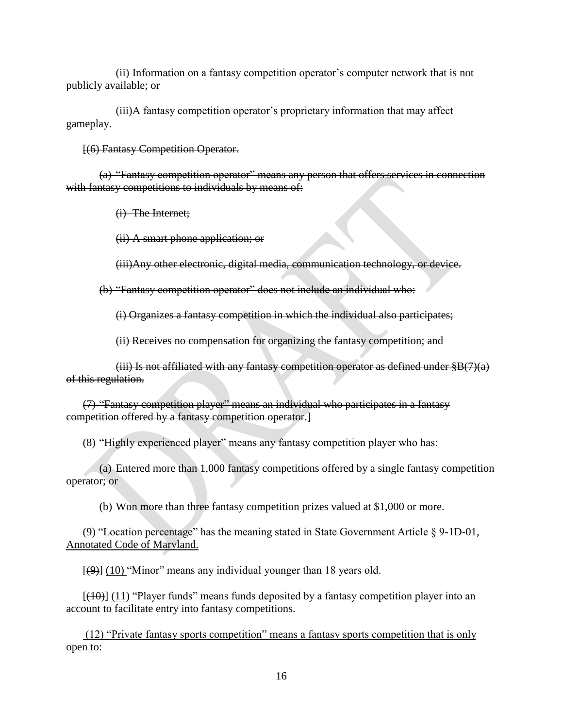(ii) Information on a fantasy competition operator's computer network that is not publicly available; or

(iii)A fantasy competition operator's proprietary information that may affect gameplay.

[(6) Fantasy Competition Operator.

(a) "Fantasy competition operator" means any person that offers services in connection with fantasy competitions to individuals by means of:

(i) The Internet;

(ii) A smart phone application; or

(iii)Any other electronic, digital media, communication technology, or device.

(b) "Fantasy competition operator" does not include an individual who:

(i) Organizes a fantasy competition in which the individual also participates;

(ii) Receives no compensation for organizing the fantasy competition; and

(iii) Is not affiliated with any fantasy competition operator as defined under  $\S B(7)(a)$ of this regulation.

(7) "Fantasy competition player" means an individual who participates in a fantasy competition offered by a fantasy competition operator.]

(8) "Highly experienced player" means any fantasy competition player who has:

(a) Entered more than 1,000 fantasy competitions offered by a single fantasy competition operator; or

(b) Won more than three fantasy competition prizes valued at \$1,000 or more.

(9) "Location percentage" has the meaning stated in State Government Article § 9-1D-01, Annotated Code of Maryland.

 $[\frac{(\varphi)}{(\varphi)}]$  (10) "Minor" means any individual younger than 18 years old.

 $[(10)]$  (11) "Player funds" means funds deposited by a fantasy competition player into an account to facilitate entry into fantasy competitions.

(12) "Private fantasy sports competition" means a fantasy sports competition that is only open to: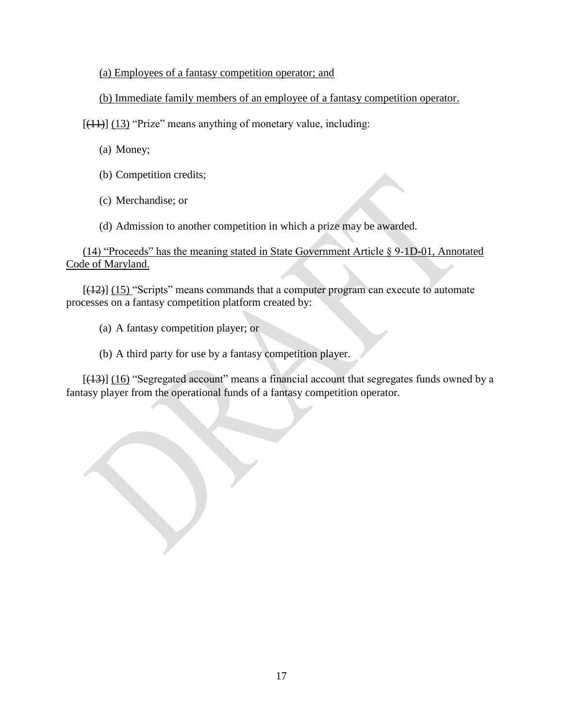## (a) Employees of a fantasy competition operator; and

## (b) Immediate family members of an employee of a fantasy competition operator.

 $[(11)]$   $(13)$  "Prize" means anything of monetary value, including:

(a) Money;

- (b) Competition credits;
- (c) Merchandise; or

(d) Admission to another competition in which a prize may be awarded.

(14) "Proceeds" has the meaning stated in State Government Article § 9-1D-01, Annotated Code of Maryland.

 $[(12)]$   $(15)$  "Scripts" means commands that a computer program can execute to automate processes on a fantasy competition platform created by:

(a) A fantasy competition player; or

## (b) A third party for use by a fantasy competition player.

[(13)] (16) "Segregated account" means a financial account that segregates funds owned by a fantasy player from the operational funds of a fantasy competition operator.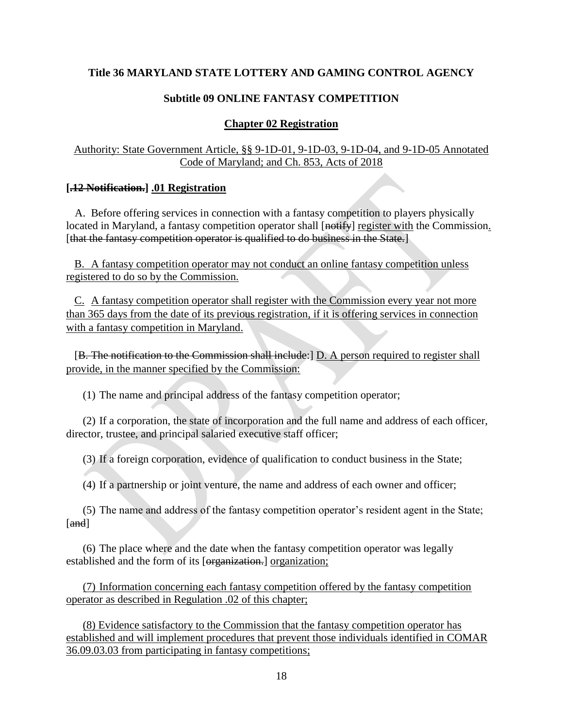# **Subtitle 09 ONLINE FANTASY COMPETITION**

# **Chapter 02 Registration**

# <span id="page-17-1"></span><span id="page-17-0"></span>Authority: State Government Article, §§ 9-1D-01, 9-1D-03, 9-1D-04, and 9-1D-05 Annotated Code of Maryland; and Ch. 853, Acts of 2018

# <span id="page-17-2"></span>**[.12 Notification.] .01 Registration**

A. Before offering services in connection with a fantasy competition to players physically located in Maryland, a fantasy competition operator shall [notify] register with the Commission. [that the fantasy competition operator is qualified to do business in the State.]

B. A fantasy competition operator may not conduct an online fantasy competition unless registered to do so by the Commission.

C. A fantasy competition operator shall register with the Commission every year not more than 365 days from the date of its previous registration, if it is offering services in connection with a fantasy competition in Maryland.

[B. The notification to the Commission shall include:] D. A person required to register shall provide, in the manner specified by the Commission:

(1) The name and principal address of the fantasy competition operator;

(2) If a corporation, the state of incorporation and the full name and address of each officer, director, trustee, and principal salaried executive staff officer;

(3) If a foreign corporation, evidence of qualification to conduct business in the State;

(4) If a partnership or joint venture, the name and address of each owner and officer;

(5) The name and address of the fantasy competition operator's resident agent in the State; [and]

(6) The place where and the date when the fantasy competition operator was legally established and the form of its [organization.] organization;

(7) Information concerning each fantasy competition offered by the fantasy competition operator as described in Regulation .02 of this chapter;

(8) Evidence satisfactory to the Commission that the fantasy competition operator has established and will implement procedures that prevent those individuals identified in COMAR 36.09.03.03 from participating in fantasy competitions;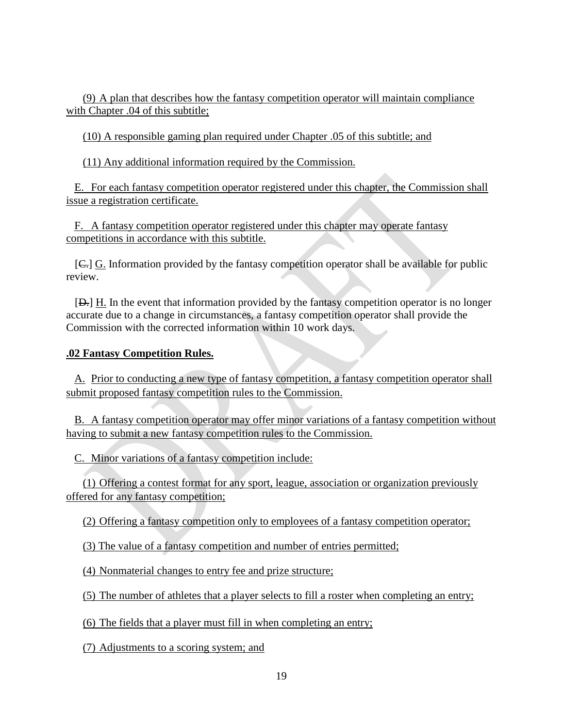(9) A plan that describes how the fantasy competition operator will maintain compliance with Chapter .04 of this subtitle;

(10) A responsible gaming plan required under Chapter .05 of this subtitle; and

(11) Any additional information required by the Commission.

E. For each fantasy competition operator registered under this chapter, the Commission shall issue a registration certificate.

F. A fantasy competition operator registered under this chapter may operate fantasy competitions in accordance with this subtitle.

[C.] G. Information provided by the fantasy competition operator shall be available for public review.

[D.] H. In the event that information provided by the fantasy competition operator is no longer accurate due to a change in circumstances, a fantasy competition operator shall provide the Commission with the corrected information within 10 work days.

# <span id="page-18-0"></span>**.02 Fantasy Competition Rules.**

A. Prior to conducting a new type of fantasy competition, a fantasy competition operator shall submit proposed fantasy competition rules to the Commission.

B. A fantasy competition operator may offer minor variations of a fantasy competition without having to submit a new fantasy competition rules to the Commission.

C. Minor variations of a fantasy competition include:

(1) Offering a contest format for any sport, league, association or organization previously offered for any fantasy competition;

(2) Offering a fantasy competition only to employees of a fantasy competition operator;

(3) The value of a fantasy competition and number of entries permitted;

(4) Nonmaterial changes to entry fee and prize structure;

(5) The number of athletes that a player selects to fill a roster when completing an entry;

(6) The fields that a player must fill in when completing an entry;

(7) Adjustments to a scoring system; and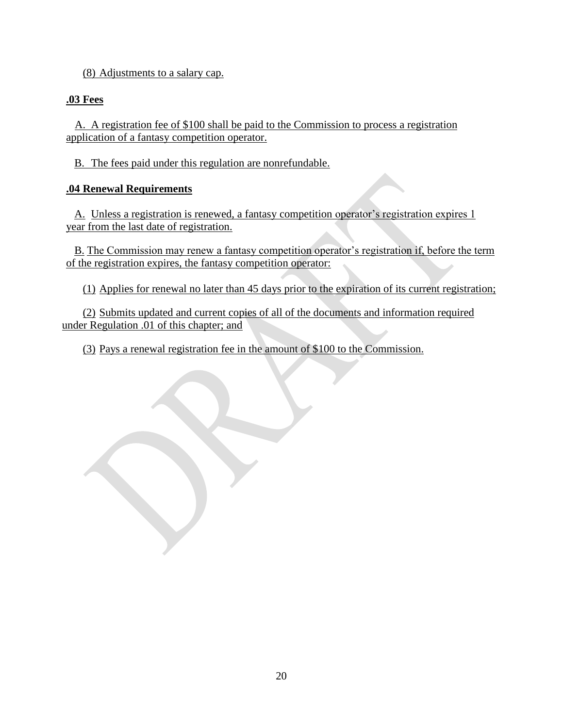(8) Adjustments to a salary cap.

# <span id="page-19-0"></span>**.03 Fees**

A. A registration fee of \$100 shall be paid to the Commission to process a registration application of a fantasy competition operator.

B. The fees paid under this regulation are nonrefundable.

# <span id="page-19-1"></span>**.04 Renewal Requirements**

A. Unless a registration is renewed, a fantasy competition operator's registration expires 1 year from the last date of registration.

B. The Commission may renew a fantasy competition operator's registration if, before the term of the registration expires, the fantasy competition operator:

(1) Applies for renewal no later than 45 days prior to the expiration of its current registration;

(2) Submits updated and current copies of all of the documents and information required under Regulation .01 of this chapter; and

(3) Pays a renewal registration fee in the amount of \$100 to the Commission.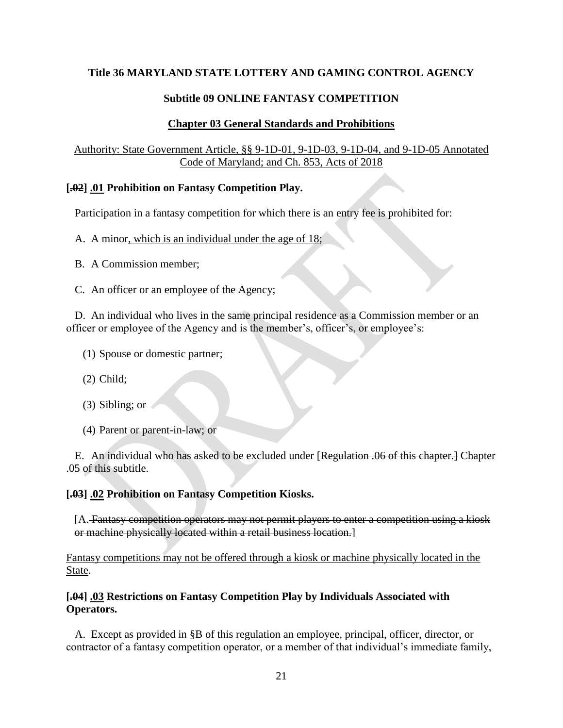## **Subtitle 09 ONLINE FANTASY COMPETITION**

#### **Chapter 03 General Standards and Prohibitions**

## <span id="page-20-1"></span><span id="page-20-0"></span>Authority: State Government Article, §§ 9-1D-01, 9-1D-03, 9-1D-04, and 9-1D-05 Annotated Code of Maryland; and Ch. 853, Acts of 2018

#### <span id="page-20-2"></span>**[.02] .01 Prohibition on Fantasy Competition Play.**

Participation in a fantasy competition for which there is an entry fee is prohibited for:

- A. A minor, which is an individual under the age of 18;
- B. A Commission member;
- C. An officer or an employee of the Agency;

D. An individual who lives in the same principal residence as a Commission member or an officer or employee of the Agency and is the member's, officer's, or employee's:

- (1) Spouse or domestic partner;
- (2) Child;
- (3) Sibling; or
- (4) Parent or parent-in-law; or

E. An individual who has asked to be excluded under [Regulation .06 of this chapter.] Chapter .05 of this subtitle.

#### <span id="page-20-3"></span>**[.03] .02 Prohibition on Fantasy Competition Kiosks.**

[A. Fantasy competition operators may not permit players to enter a competition using a kiosk or machine physically located within a retail business location.]

Fantasy competitions may not be offered through a kiosk or machine physically located in the State.

## <span id="page-20-4"></span>**[.04] .03 Restrictions on Fantasy Competition Play by Individuals Associated with Operators.**

A. Except as provided in §B of this regulation an employee, principal, officer, director, or contractor of a fantasy competition operator, or a member of that individual's immediate family,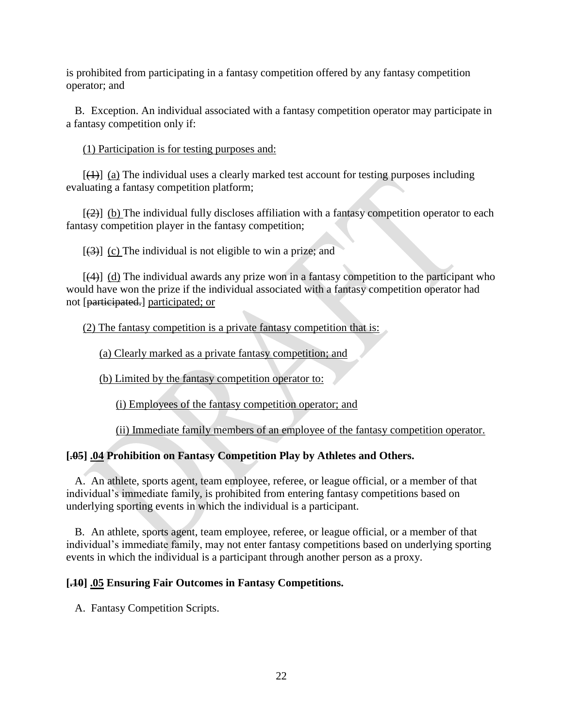is prohibited from participating in a fantasy competition offered by any fantasy competition operator; and

B. Exception. An individual associated with a fantasy competition operator may participate in a fantasy competition only if:

(1) Participation is for testing purposes and:

 $[4]$  (a) The individual uses a clearly marked test account for testing purposes including evaluating a fantasy competition platform;

 $[2]$  (b) The individual fully discloses affiliation with a fantasy competition operator to each fantasy competition player in the fantasy competition;

 $[(3)]$  (c) The individual is not eligible to win a prize; and

 $[(4)]$  (d) The individual awards any prize won in a fantasy competition to the participant who would have won the prize if the individual associated with a fantasy competition operator had not [participated.] participated; or

(2) The fantasy competition is a private fantasy competition that is:

(a) Clearly marked as a private fantasy competition; and

(b) Limited by the fantasy competition operator to:

(i) Employees of the fantasy competition operator; and

(ii) Immediate family members of an employee of the fantasy competition operator.

# <span id="page-21-0"></span>**[.05] .04 Prohibition on Fantasy Competition Play by Athletes and Others.**

A. An athlete, sports agent, team employee, referee, or league official, or a member of that individual's immediate family, is prohibited from entering fantasy competitions based on underlying sporting events in which the individual is a participant.

B. An athlete, sports agent, team employee, referee, or league official, or a member of that individual's immediate family, may not enter fantasy competitions based on underlying sporting events in which the individual is a participant through another person as a proxy.

# <span id="page-21-1"></span>**[.10] .05 Ensuring Fair Outcomes in Fantasy Competitions.**

A. Fantasy Competition Scripts.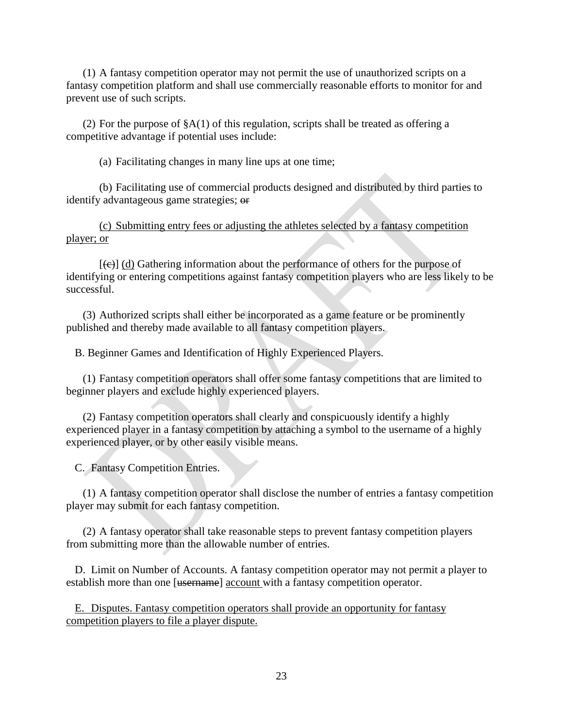(1) A fantasy competition operator may not permit the use of unauthorized scripts on a fantasy competition platform and shall use commercially reasonable efforts to monitor for and prevent use of such scripts.

(2) For the purpose of  $(A(1))$  of this regulation, scripts shall be treated as offering a competitive advantage if potential uses include:

(a) Facilitating changes in many line ups at one time;

(b) Facilitating use of commercial products designed and distributed by third parties to identify advantageous game strategies; or

(c) Submitting entry fees or adjusting the athletes selected by a fantasy competition player; or

 $[\Theta]$  (d) Gathering information about the performance of others for the purpose of identifying or entering competitions against fantasy competition players who are less likely to be successful.

(3) Authorized scripts shall either be incorporated as a game feature or be prominently published and thereby made available to all fantasy competition players.

B. Beginner Games and Identification of Highly Experienced Players.

(1) Fantasy competition operators shall offer some fantasy competitions that are limited to beginner players and exclude highly experienced players.

(2) Fantasy competition operators shall clearly and conspicuously identify a highly experienced player in a fantasy competition by attaching a symbol to the username of a highly experienced player, or by other easily visible means.

C. Fantasy Competition Entries.

(1) A fantasy competition operator shall disclose the number of entries a fantasy competition player may submit for each fantasy competition.

(2) A fantasy operator shall take reasonable steps to prevent fantasy competition players from submitting more than the allowable number of entries.

D. Limit on Number of Accounts. A fantasy competition operator may not permit a player to establish more than one [<del>username</del>] account with a fantasy competition operator.

E. Disputes. Fantasy competition operators shall provide an opportunity for fantasy competition players to file a player dispute.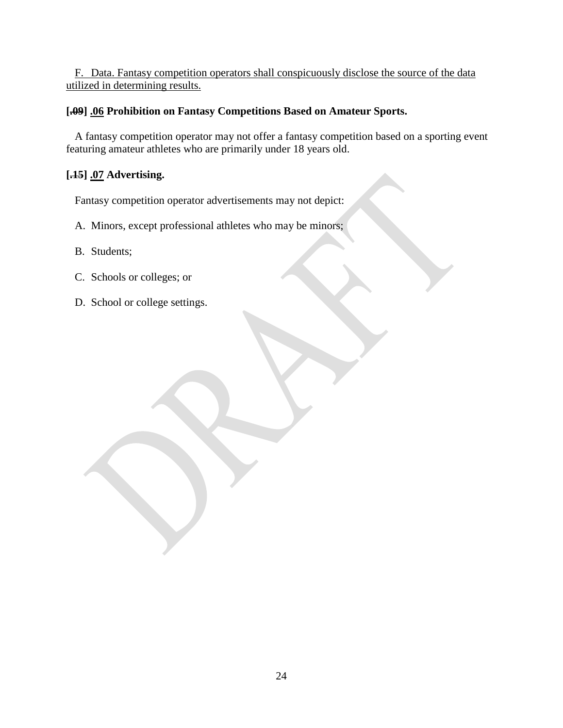F. Data. Fantasy competition operators shall conspicuously disclose the source of the data utilized in determining results.

# <span id="page-23-0"></span>**[.09] .06 Prohibition on Fantasy Competitions Based on Amateur Sports.**

A fantasy competition operator may not offer a fantasy competition based on a sporting event featuring amateur athletes who are primarily under 18 years old.

# <span id="page-23-1"></span>**[.15] .07 Advertising.**

Fantasy competition operator advertisements may not depict:

- A. Minors, except professional athletes who may be minors;
- B. Students;
- C. Schools or colleges; or
- D. School or college settings.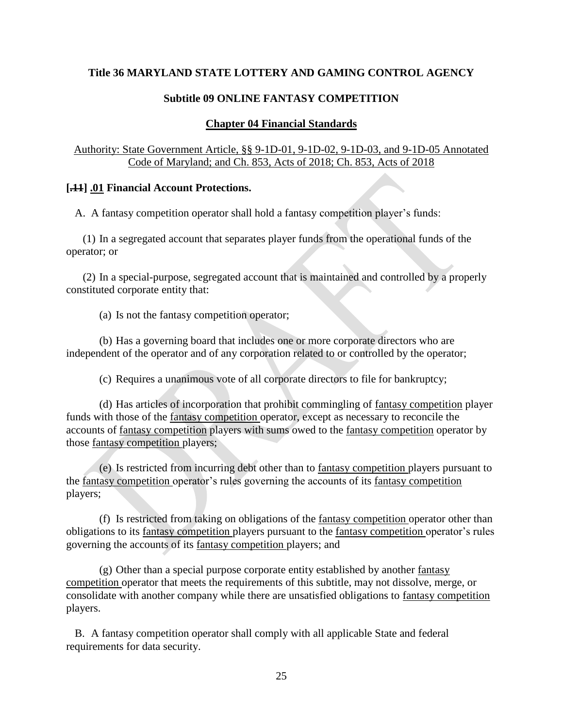#### **Subtitle 09 ONLINE FANTASY COMPETITION**

#### **Chapter 04 Financial Standards**

#### <span id="page-24-1"></span><span id="page-24-0"></span>Authority: State Government Article, §§ 9-1D-01, 9-1D-02, 9-1D-03, and 9-1D-05 Annotated Code of Maryland; and Ch. 853, Acts of 2018; Ch. 853, Acts of 2018

#### <span id="page-24-2"></span>**[.11] .01 Financial Account Protections.**

A. A fantasy competition operator shall hold a fantasy competition player's funds:

(1) In a segregated account that separates player funds from the operational funds of the operator; or

(2) In a special-purpose, segregated account that is maintained and controlled by a properly constituted corporate entity that:

(a) Is not the fantasy competition operator;

(b) Has a governing board that includes one or more corporate directors who are independent of the operator and of any corporation related to or controlled by the operator;

(c) Requires a unanimous vote of all corporate directors to file for bankruptcy;

(d) Has articles of incorporation that prohibit commingling of fantasy competition player funds with those of the fantasy competition operator, except as necessary to reconcile the accounts of fantasy competition players with sums owed to the fantasy competition operator by those fantasy competition players;

(e) Is restricted from incurring debt other than to fantasy competition players pursuant to the fantasy competition operator's rules governing the accounts of its fantasy competition players;

(f) Is restricted from taking on obligations of the fantasy competition operator other than obligations to its fantasy competition players pursuant to the fantasy competition operator's rules governing the accounts of its fantasy competition players; and

(g) Other than a special purpose corporate entity established by another fantasy competition operator that meets the requirements of this subtitle, may not dissolve, merge, or consolidate with another company while there are unsatisfied obligations to fantasy competition players.

B. A fantasy competition operator shall comply with all applicable State and federal requirements for data security.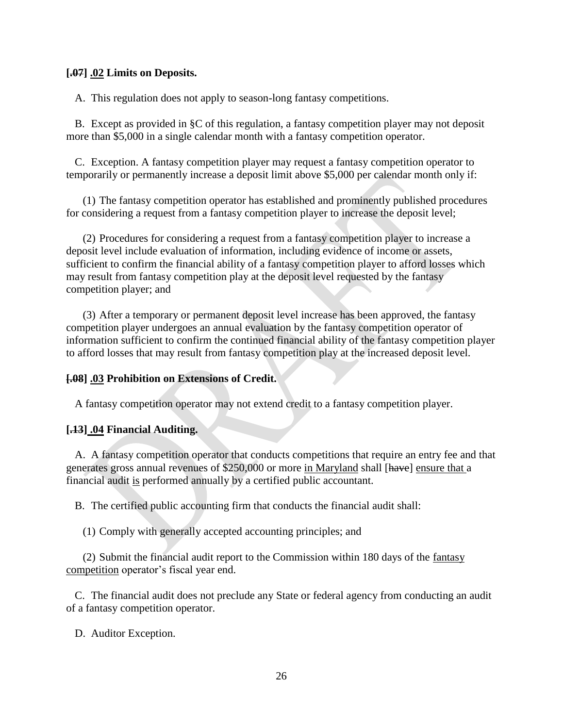#### <span id="page-25-0"></span>**[.07] .02 Limits on Deposits.**

A. This regulation does not apply to season-long fantasy competitions.

B. Except as provided in §C of this regulation, a fantasy competition player may not deposit more than \$5,000 in a single calendar month with a fantasy competition operator.

C. Exception. A fantasy competition player may request a fantasy competition operator to temporarily or permanently increase a deposit limit above \$5,000 per calendar month only if:

(1) The fantasy competition operator has established and prominently published procedures for considering a request from a fantasy competition player to increase the deposit level;

(2) Procedures for considering a request from a fantasy competition player to increase a deposit level include evaluation of information, including evidence of income or assets, sufficient to confirm the financial ability of a fantasy competition player to afford losses which may result from fantasy competition play at the deposit level requested by the fantasy competition player; and

(3) After a temporary or permanent deposit level increase has been approved, the fantasy competition player undergoes an annual evaluation by the fantasy competition operator of information sufficient to confirm the continued financial ability of the fantasy competition player to afford losses that may result from fantasy competition play at the increased deposit level.

#### <span id="page-25-1"></span>**[.08] .03 Prohibition on Extensions of Credit.**

A fantasy competition operator may not extend credit to a fantasy competition player.

#### <span id="page-25-2"></span>**[.13] .04 Financial Auditing.**

A. A fantasy competition operator that conducts competitions that require an entry fee and that generates gross annual revenues of \$250,000 or more in Maryland shall [have] ensure that a financial audit is performed annually by a certified public accountant.

B. The certified public accounting firm that conducts the financial audit shall:

(1) Comply with generally accepted accounting principles; and

(2) Submit the financial audit report to the Commission within 180 days of the fantasy competition operator's fiscal year end.

C. The financial audit does not preclude any State or federal agency from conducting an audit of a fantasy competition operator.

D. Auditor Exception.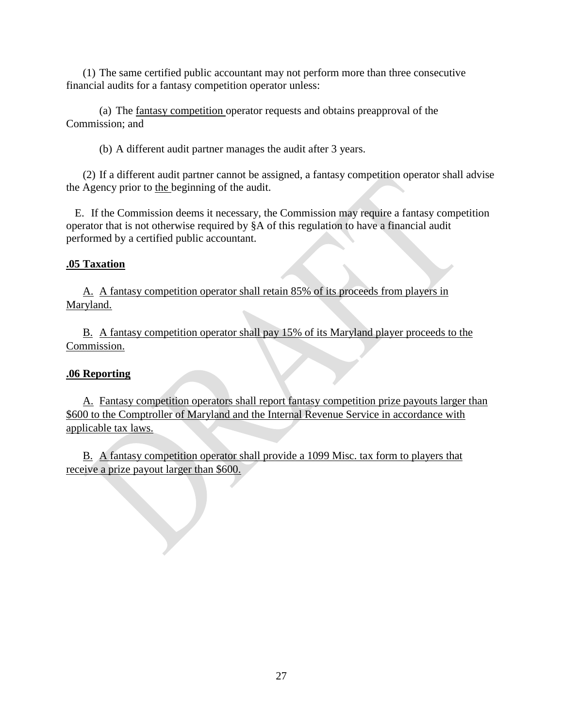(1) The same certified public accountant may not perform more than three consecutive financial audits for a fantasy competition operator unless:

(a) The fantasy competition operator requests and obtains preapproval of the Commission; and

(b) A different audit partner manages the audit after 3 years.

(2) If a different audit partner cannot be assigned, a fantasy competition operator shall advise the Agency prior to the beginning of the audit.

E. If the Commission deems it necessary, the Commission may require a fantasy competition operator that is not otherwise required by §A of this regulation to have a financial audit performed by a certified public accountant.

## <span id="page-26-0"></span>**.05 Taxation**

A. A fantasy competition operator shall retain 85% of its proceeds from players in Maryland.

B. A fantasy competition operator shall pay 15% of its Maryland player proceeds to the Commission.

# <span id="page-26-1"></span>**.06 Reporting**

A. Fantasy competition operators shall report fantasy competition prize payouts larger than \$600 to the Comptroller of Maryland and the Internal Revenue Service in accordance with applicable tax laws.

B. A fantasy competition operator shall provide a 1099 Misc. tax form to players that receive a prize payout larger than \$600.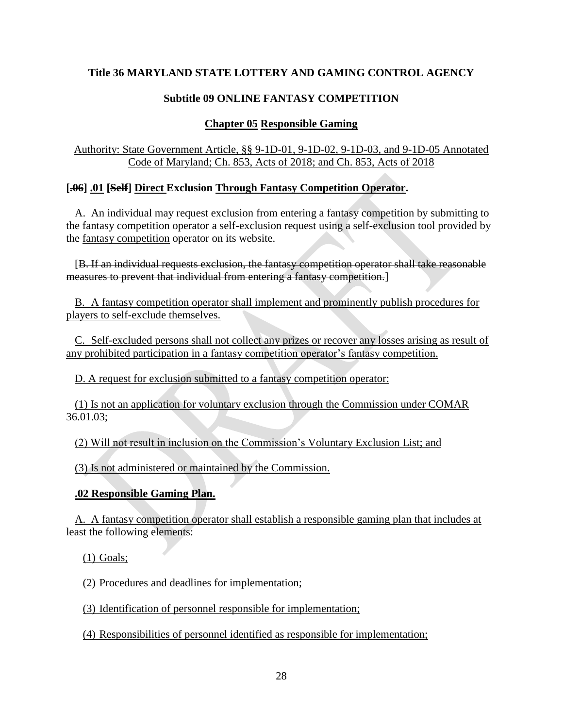# **Subtitle 09 ONLINE FANTASY COMPETITION**

# **Chapter 05 Responsible Gaming**

<span id="page-27-1"></span><span id="page-27-0"></span>Authority: State Government Article, §§ 9-1D-01, 9-1D-02, 9-1D-03, and 9-1D-05 Annotated Code of Maryland; Ch. 853, Acts of 2018; and Ch. 853, Acts of 2018

# <span id="page-27-2"></span>**[.06] .01 [Self] Direct Exclusion Through Fantasy Competition Operator.**

A. An individual may request exclusion from entering a fantasy competition by submitting to the fantasy competition operator a self-exclusion request using a self-exclusion tool provided by the fantasy competition operator on its website.

[B. If an individual requests exclusion, the fantasy competition operator shall take reasonable measures to prevent that individual from entering a fantasy competition.]

B. A fantasy competition operator shall implement and prominently publish procedures for players to self-exclude themselves.

C. Self-excluded persons shall not collect any prizes or recover any losses arising as result of any prohibited participation in a fantasy competition operator's fantasy competition.

D. A request for exclusion submitted to a fantasy competition operator:

(1) Is not an application for voluntary exclusion through the Commission under COMAR 36.01.03;

(2) Will not result in inclusion on the Commission's Voluntary Exclusion List; and

(3) Is not administered or maintained by the Commission.

# <span id="page-27-3"></span>**.02 Responsible Gaming Plan.**

A. A fantasy competition operator shall establish a responsible gaming plan that includes at least the following elements:

(1) Goals;

(2) Procedures and deadlines for implementation;

(3) Identification of personnel responsible for implementation;

(4) Responsibilities of personnel identified as responsible for implementation;